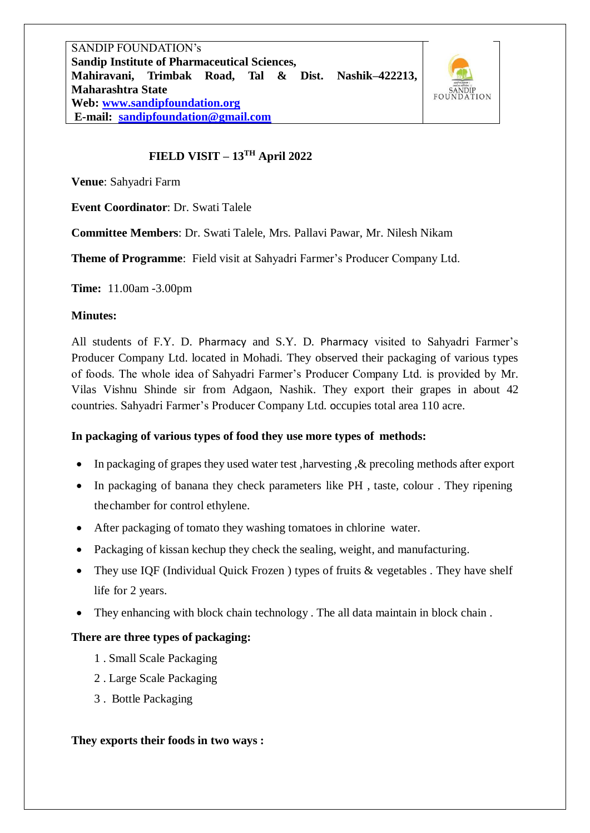SANDIP FOUNDATION's **Sandip Institute of Pharmaceutical Sciences, Mahiravani, Trimbak Road, Tal & Dist. Nashik–422213, Maharashtra State Web: [www.sandipfoundation.org](http://www.sandipfoundation.org/) E-mail: [sandipfoundation@gmail.com](mailto:sandipfoundation@gmail.com)**



# **FIELD VISIT – 13 TH April 2022**

**Venue**: Sahyadri Farm

**Event Coordinator**: Dr. Swati Talele

**Committee Members**: Dr. Swati Talele, Mrs. Pallavi Pawar, Mr. Nilesh Nikam

**Theme of Programme**: Field visit at Sahyadri Farmer's Producer Company Ltd.

**Time:** 11.00am -3.00pm

#### **Minutes:**

All students of F.Y. D. Pharmacy and S.Y. D. Pharmacy visited to Sahyadri Farmer's Producer Company Ltd. located in Mohadi. They observed their packaging of various types of foods. The whole idea of Sahyadri Farmer's Producer Company Ltd. is provided by Mr. Vilas Vishnu Shinde sir from Adgaon, Nashik. They export their grapes in about 42 countries. Sahyadri Farmer's Producer Company Ltd. occupies total area 110 acre.

## **In packaging of various types of food they use more types of methods:**

- In packaging of grapes they used water test ,harvesting ,& precoling methods after export
- In packaging of banana they check parameters like PH , taste, colour . They ripening thechamber for control ethylene.
- After packaging of tomato they washing tomatoes in chlorine water.
- Packaging of kissan kechup they check the sealing, weight, and manufacturing.
- They use IQF (Individual Quick Frozen) types of fruits & vegetables. They have shelf life for 2 years.
- They enhancing with block chain technology . The all data maintain in block chain .

## **There are three types of packaging:**

- 1 . Small Scale Packaging
- 2 . Large Scale Packaging
- 3 . Bottle Packaging

#### **They exports their foods in two ways :**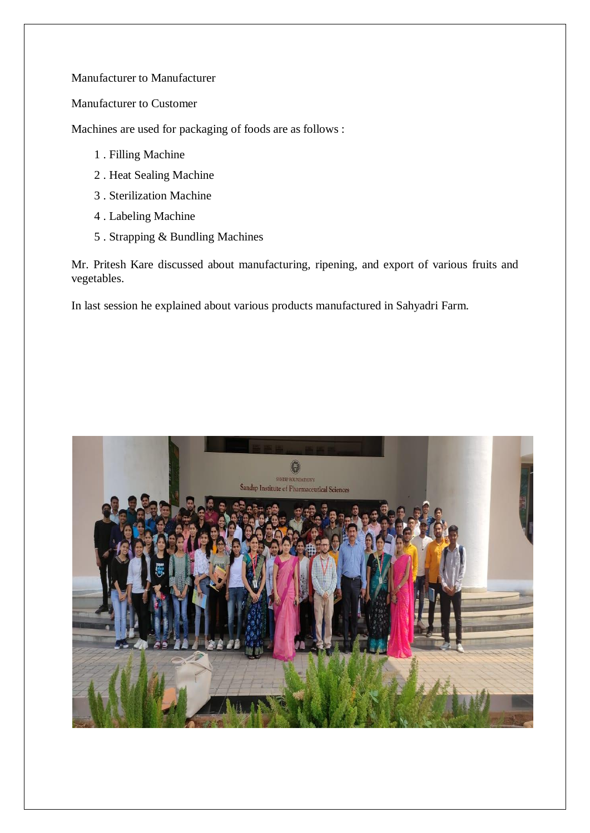Manufacturer to Manufacturer

Manufacturer to Customer

Machines are used for packaging of foods are as follows :

- 1 . Filling Machine
- 2 . Heat Sealing Machine
- 3 . Sterilization Machine
- 4 . Labeling Machine
- 5 . Strapping & Bundling Machines

Mr. Pritesh Kare discussed about manufacturing, ripening, and export of various fruits and vegetables.

In last session he explained about various products manufactured in Sahyadri Farm.

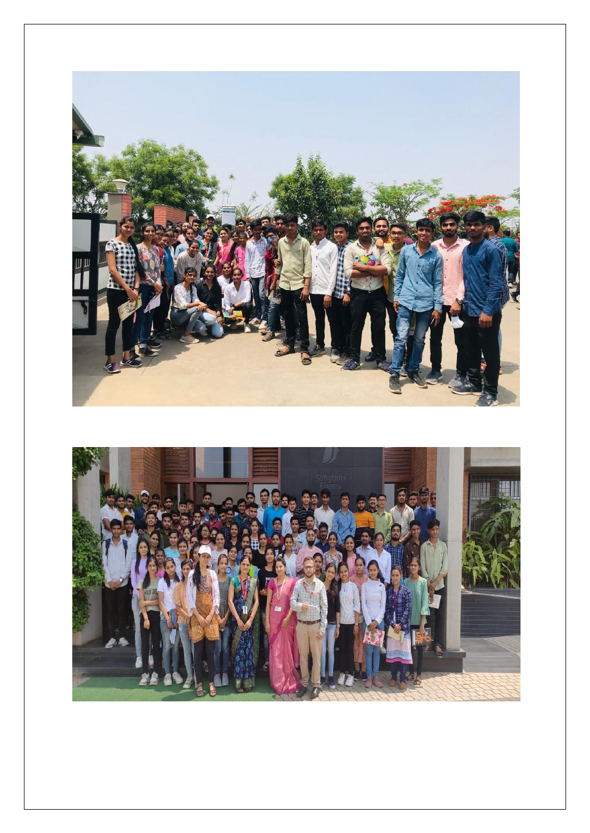